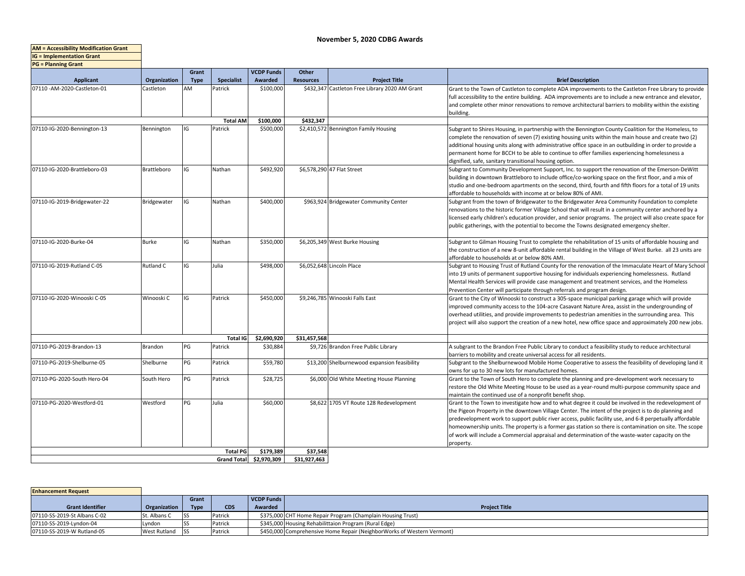**AM = Accessibility Modification Grant IG = Implementation Grant**

| <b>PG = Planning Grant</b>   |              |             |                    |                       |                  |                                                |                                                                                                                                                                                                                                                                                                                                                                                                                                                                                                                                                   |
|------------------------------|--------------|-------------|--------------------|-----------------------|------------------|------------------------------------------------|---------------------------------------------------------------------------------------------------------------------------------------------------------------------------------------------------------------------------------------------------------------------------------------------------------------------------------------------------------------------------------------------------------------------------------------------------------------------------------------------------------------------------------------------------|
|                              |              | Grant       |                    | <b>VCDP Funds</b>     | Other            |                                                |                                                                                                                                                                                                                                                                                                                                                                                                                                                                                                                                                   |
| <b>Applicant</b>             | Organization | <b>Type</b> | <b>Specialist</b>  | Awarded               | <b>Resources</b> | <b>Project Title</b>                           | <b>Brief Description</b>                                                                                                                                                                                                                                                                                                                                                                                                                                                                                                                          |
| 07110 - AM-2020-Castleton-01 | Castleton    | AM          | Patrick            | \$100,000             |                  | \$432,347 Castleton Free Library 2020 AM Grant | Grant to the Town of Castleton to complete ADA improvements to the Castleton Free Library to provide<br>full accessibility to the entire building. ADA improvements are to include a new entrance and elevator,<br>and complete other minor renovations to remove architectural barriers to mobility within the existing<br>building.                                                                                                                                                                                                             |
|                              |              |             | <b>Total AM</b>    | \$100,000             | \$432.347        |                                                |                                                                                                                                                                                                                                                                                                                                                                                                                                                                                                                                                   |
| 07110-IG-2020-Bennington-13  | Bennington   | IG          | Patrick            | \$500,000             |                  | \$2,410,572 Bennington Family Housing          | Subgrant to Shires Housing, in partnership with the Bennington County Coalition for the Homeless, to<br>complete the renovation of seven (7) existing housing units within the main house and create two (2)<br>additional housing units along with administrative office space in an outbuilding in order to provide a<br>permanent home for BCCH to be able to continue to offer families experiencing homelessness a<br>dignified, safe, sanitary transitional housing option.                                                                 |
| 07110-IG-2020-Brattleboro-03 | Brattleboro  | IG          | Nathan             | \$492,920             |                  | \$6,578,290 47 Flat Street                     | Subgrant to Community Development Support, Inc. to support the renovation of the Emerson-DeWitt<br>building in downtown Brattleboro to include office/co-working space on the first floor, and a mix of<br>studio and one-bedroom apartments on the second, third, fourth and fifth floors for a total of 19 units<br>affordable to households with income at or below 80% of AMI.                                                                                                                                                                |
| 07110-IG-2019-Bridgewater-22 | Bridgewater  | IG          | Nathan             | \$400,000             |                  | \$963,924 Bridgewater Community Center         | Subgrant from the town of Bridgewater to the Bridgewater Area Community Foundation to complete<br>renovations to the historic former Village School that will result in a community center anchored by a<br>licensed early children's education provider, and senior programs. The project will also create space for<br>public gatherings, with the potential to become the Towns designated emergency shelter.                                                                                                                                  |
| 07110-IG-2020-Burke-04       | <b>Burke</b> | IG          | Nathan             | \$350,000             |                  | \$6,205,349 West Burke Housing                 | Subgrant to Gilman Housing Trust to complete the rehabilitation of 15 units of affordable housing and<br>the construction of a new 8-unit affordable rental building in the Village of West Burke. all 23 units are<br>affordable to households at or below 80% AMI.                                                                                                                                                                                                                                                                              |
| 07110-IG-2019-Rutland C-05   | Rutland C    | IG          | Julia              | \$498,000             |                  | \$6,052,648 Lincoln Place                      | Subgrant to Housing Trust of Rutland County for the renovation of the Immaculate Heart of Mary School<br>into 19 units of permanent supportive housing for individuals experiencing homelessness. Rutland<br>Mental Health Services will provide case management and treatment services, and the Homeless<br>Prevention Center will participate through referrals and program design.                                                                                                                                                             |
| 07110-IG-2020-Winooski C-05  | Winooski C   | IG          | Patrick            | \$450,000             |                  | \$9,246,785 Winooski Falls East                | Grant to the City of Winooski to construct a 305-space municipal parking garage which will provide<br>improved community access to the 104-acre Casavant Nature Area, assist in the undergrounding of<br>overhead utilities, and provide improvements to pedestrian amenities in the surrounding area. This<br>project will also support the creation of a new hotel, new office space and approximately 200 new jobs.                                                                                                                            |
|                              |              |             | <b>Total IG</b>    | \$2,690,920           | \$31,457,568     |                                                |                                                                                                                                                                                                                                                                                                                                                                                                                                                                                                                                                   |
| 07110-PG-2019-Brandon-13     | Brandon      | PG          | Patrick            | \$30,884              |                  | \$9,726 Brandon Free Public Library            | A subgrant to the Brandon Free Public Library to conduct a feasibility study to reduce architectural<br>barriers to mobility and create universal access for all residents.                                                                                                                                                                                                                                                                                                                                                                       |
| 07110-PG-2019-Shelburne-05   | Shelburne    | PG          | Patrick            | \$59,780              |                  | \$13,200 Shelburnewood expansion feasibility   | Subgrant to the Shelburnewood Mobile Home Cooperative to assess the feasibility of developing land it<br>owns for up to 30 new lots for manufactured homes.                                                                                                                                                                                                                                                                                                                                                                                       |
| 07110-PG-2020-South Hero-04  | South Hero   | PG          | Patrick            | \$28,725              |                  | \$6,000 Old White Meeting House Planning       | Grant to the Town of South Hero to complete the planning and pre-development work necessary to<br>restore the Old White Meeting House to be used as a year-round multi-purpose community space and<br>maintain the continued use of a nonprofit benefit shop.                                                                                                                                                                                                                                                                                     |
| 07110-PG-2020-Westford-01    | Westford     | PG          | Julia              | \$60,000<br>\$179,389 |                  | \$8,622 1705 VT Route 128 Redevelopment        | Grant to the Town to investigate how and to what degree it could be involved in the redevelopment of<br>the Pigeon Property in the downtown Village Center. The intent of the project is to do planning and<br>predevelopment work to support public river access, public facility use, and 6-8 perpetually affordable<br>homeownership units. The property is a former gas station so there is contamination on site. The scope<br>of work will include a Commercial appraisal and determination of the waste-water capacity on the<br>property. |
| <b>Total PG</b>              |              |             |                    |                       | \$37,548         |                                                |                                                                                                                                                                                                                                                                                                                                                                                                                                                                                                                                                   |
|                              |              |             | <b>Grand Total</b> | \$2,970,309           | \$31,927,463     |                                                |                                                                                                                                                                                                                                                                                                                                                                                                                                                                                                                                                   |

| <b>Enhancement Request</b>   |                     |             |            |                   |                                                                        |
|------------------------------|---------------------|-------------|------------|-------------------|------------------------------------------------------------------------|
|                              |                     | Grant       |            | <b>VCDP Funds</b> |                                                                        |
| <b>Grant Identifier</b>      | Organization        | <b>Type</b> | <b>CDS</b> | Awarded           | <b>Project Title</b>                                                   |
| 07110-SS-2019-St Albans C-02 | St. Albans C        |             | Patrick    |                   | \$375,000 CHT Home Repair Program (Champlain Housing Trust)            |
| 07110-SS-2019-Lyndon-04      | Lyndon              |             | Patrick    |                   | \$345,000 Housing Rehabilittaion Program (Rural Edge)                  |
| 07110-SS-2019-W Rutland-05   | <b>West Rutland</b> |             | Patrick    |                   | \$450,000 Comprehensive Home Repair (NeighborWorks of Western Vermont) |